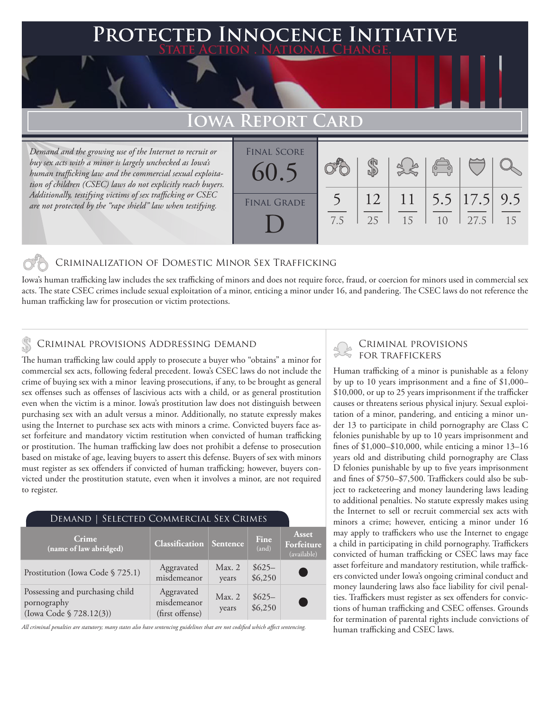### **PTED INNOCENCE INITIATIVE State Action . National Change.**

## **Iowa Report Card**

*Demand and the growing use of the Internet to recruit or buy sex acts with a minor is largely unchecked as Iowa's human trafficking law and the commercial sexual exploitation of children (CSEC) laws do not explicitly reach buyers. Additionally, testifying victims of sex trafficking or CSEC are not protected by the "rape shield" law when testifying.*

| <b>FINAL SCORE</b><br>60.5 |     |          |    | $\sqrt{\frac{1}{10}}$ |                               |    |
|----------------------------|-----|----------|----|-----------------------|-------------------------------|----|
| <b>FINAL GRADE</b>         | 7.5 | 12<br>25 | 15 | 1 <sub>0</sub>        | 11   5.5   17.5   9.5<br>27.5 | 15 |

#### Criminalization of Domestic Minor Sex Trafficking

Iowa's human trafficking law includes the sex trafficking of minors and does not require force, fraud, or coercion for minors used in commercial sex acts. The state CSEC crimes include sexual exploitation of a minor, enticing a minor under 16, and pandering. The CSEC laws do not reference the human trafficking law for prosecution or victim protections.

#### Criminal provisions Addressing demand

The human trafficking law could apply to prosecute a buyer who "obtains" a minor for commercial sex acts, following federal precedent. Iowa's CSEC laws do not include the crime of buying sex with a minor leaving prosecutions, if any, to be brought as general sex offenses such as offenses of lascivious acts with a child, or as general prostitution even when the victim is a minor. Iowa's prostitution law does not distinguish between purchasing sex with an adult versus a minor. Additionally, no statute expressly makes using the Internet to purchase sex acts with minors a crime. Convicted buyers face asset forfeiture and mandatory victim restitution when convicted of human trafficking or prostitution. The human trafficking law does not prohibit a defense to prosecution based on mistake of age, leaving buyers to assert this defense. Buyers of sex with minors must register as sex offenders if convicted of human trafficking; however, buyers convicted under the prostitution statute, even when it involves a minor, are not required to register.

| DEMAND   SELECTED COMMERCIAL SEX CRIMES                                   |                                              |                 |                    |                                           |  |  |  |
|---------------------------------------------------------------------------|----------------------------------------------|-----------------|--------------------|-------------------------------------------|--|--|--|
| Crime<br>(name of law abridged)                                           | <b>Classification Sentence</b>               |                 | Fine<br>(and)      | <b>Asset</b><br>Forfeiture<br>(available) |  |  |  |
| Prostitution (Iowa Code § 725.1)                                          | Aggravated<br>misdemeanor                    | Max. 2<br>years | $$625-$<br>\$6,250 |                                           |  |  |  |
| Possessing and purchasing child<br>pornography<br>(Iowa Code § 728.12(3)) | Aggravated<br>misdemeanor<br>(first offense) | Max. 2<br>years | $$625-$<br>\$6,250 |                                           |  |  |  |

*All criminal penalties are statutory; many states also have sentencing guidelines that are not codified which affect sentencing.* 

# Criminal provisions

Human trafficking of a minor is punishable as a felony by up to 10 years imprisonment and a fine of \$1,000– \$10,000, or up to 25 years imprisonment if the trafficker causes or threatens serious physical injury. Sexual exploitation of a minor, pandering, and enticing a minor under 13 to participate in child pornography are Class C felonies punishable by up to 10 years imprisonment and fines of \$1,000–\$10,000, while enticing a minor 13–16 years old and distributing child pornography are Class D felonies punishable by up to five years imprisonment and fines of \$750–\$7,500. Traffickers could also be subject to racketeering and money laundering laws leading to additional penalties. No statute expressly makes using the Internet to sell or recruit commercial sex acts with minors a crime; however, enticing a minor under 16 may apply to traffickers who use the Internet to engage a child in participating in child pornography. Traffickers convicted of human trafficking or CSEC laws may face asset forfeiture and mandatory restitution, while traffickers convicted under Iowa's ongoing criminal conduct and money laundering laws also face liability for civil penalties. Traffickers must register as sex offenders for convictions of human trafficking and CSEC offenses. Grounds for termination of parental rights include convictions of human trafficking and CSEC laws.